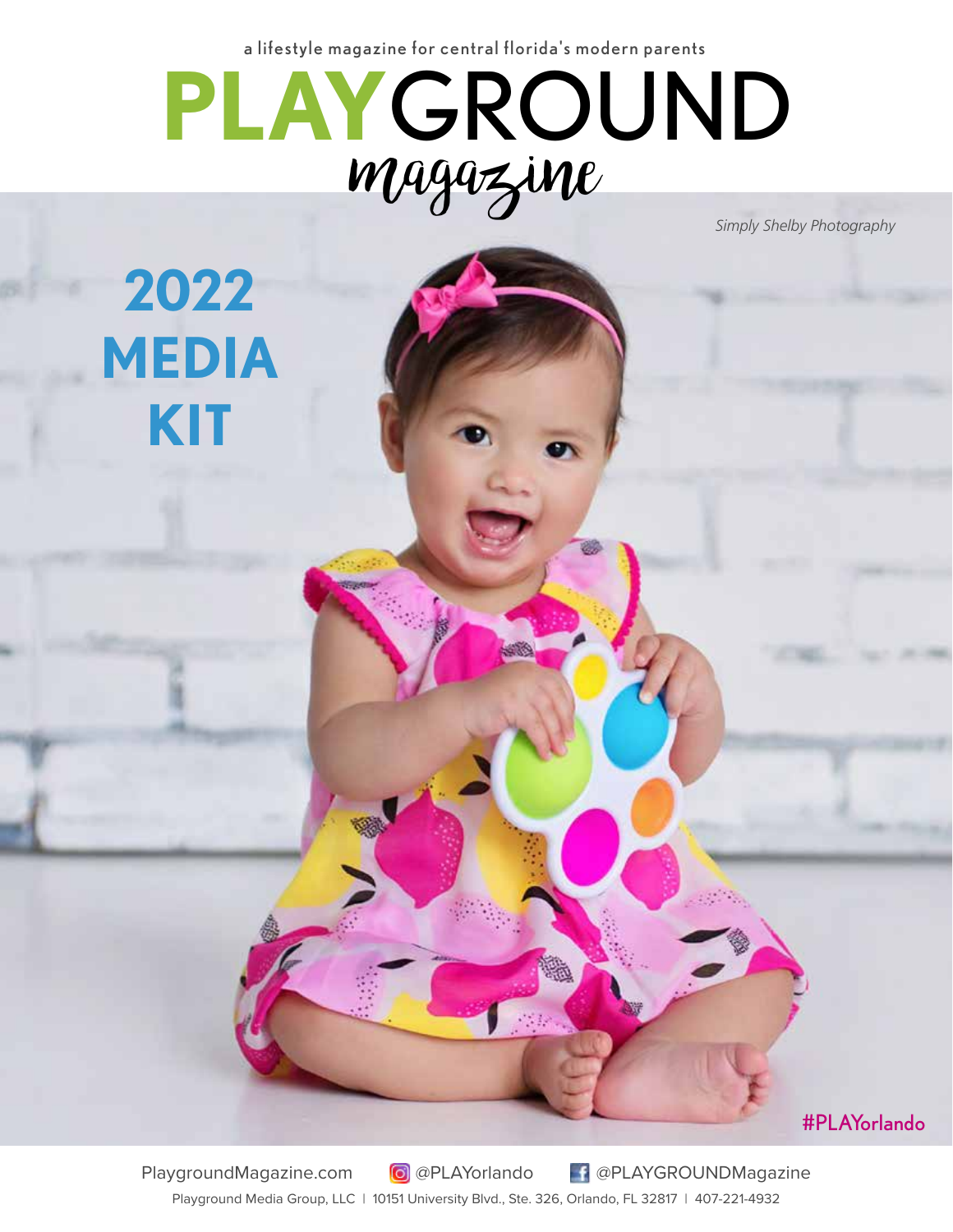a lifestyle magazine for central florida's modern parents



*Simply Shelby Photography*

**2022 MEDIA KIT**

#PLAYorlando

PlaygroundMagazine.com @PLAYorlando @PLAYGROUNDMagazine Playground Media Group, LLC | 10151 University Blvd., Ste. 326, Orlando, FL 32817 | 407-221-4932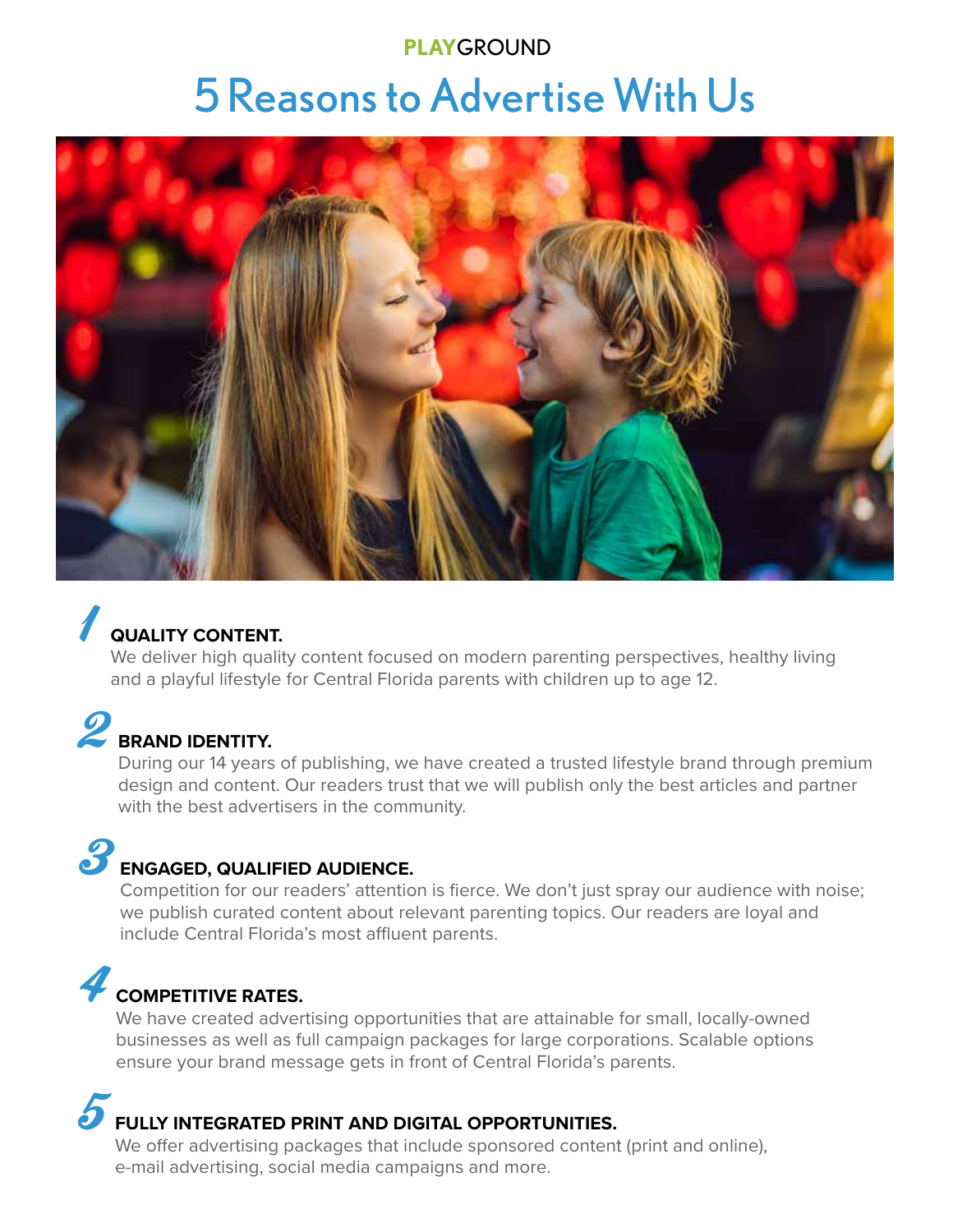## **PLAY**GROUND 5 Reasons to Advertise With Us



## **QUALITY CONTENT.**

We deliver high quality content focused on modern parenting perspectives, healthy living and a playful lifestyle for Central Florida parents with children up to age 12.

# **2** BRAND IDENTITY.

During our 14 years of publishing, we have created a trusted lifestyle brand through premium design and content. Our readers trust that we will publish only the best articles and partner with the best advertisers in the community.

## 3 **ENGAGED, QUALIFIED AUDIENCE.**

Competition for our readers' attention is fierce. We don't just spray our audience with noise; we publish curated content about relevant parenting topics. Our readers are loyal and include Central Florida's most affluent parents.

## 4 **COMPETITIVE RATES.**

We have created advertising opportunities that are attainable for small, locally-owned businesses as well as full campaign packages for large corporations. Scalable options ensure your brand message gets in front of Central Florida's parents.

## 5 **FULLY INTEGRATED PRINT AND DIGITAL OPPORTUNITIES.**

We offer advertising packages that include sponsored content (print and online), e-mail advertising, social media campaigns and more.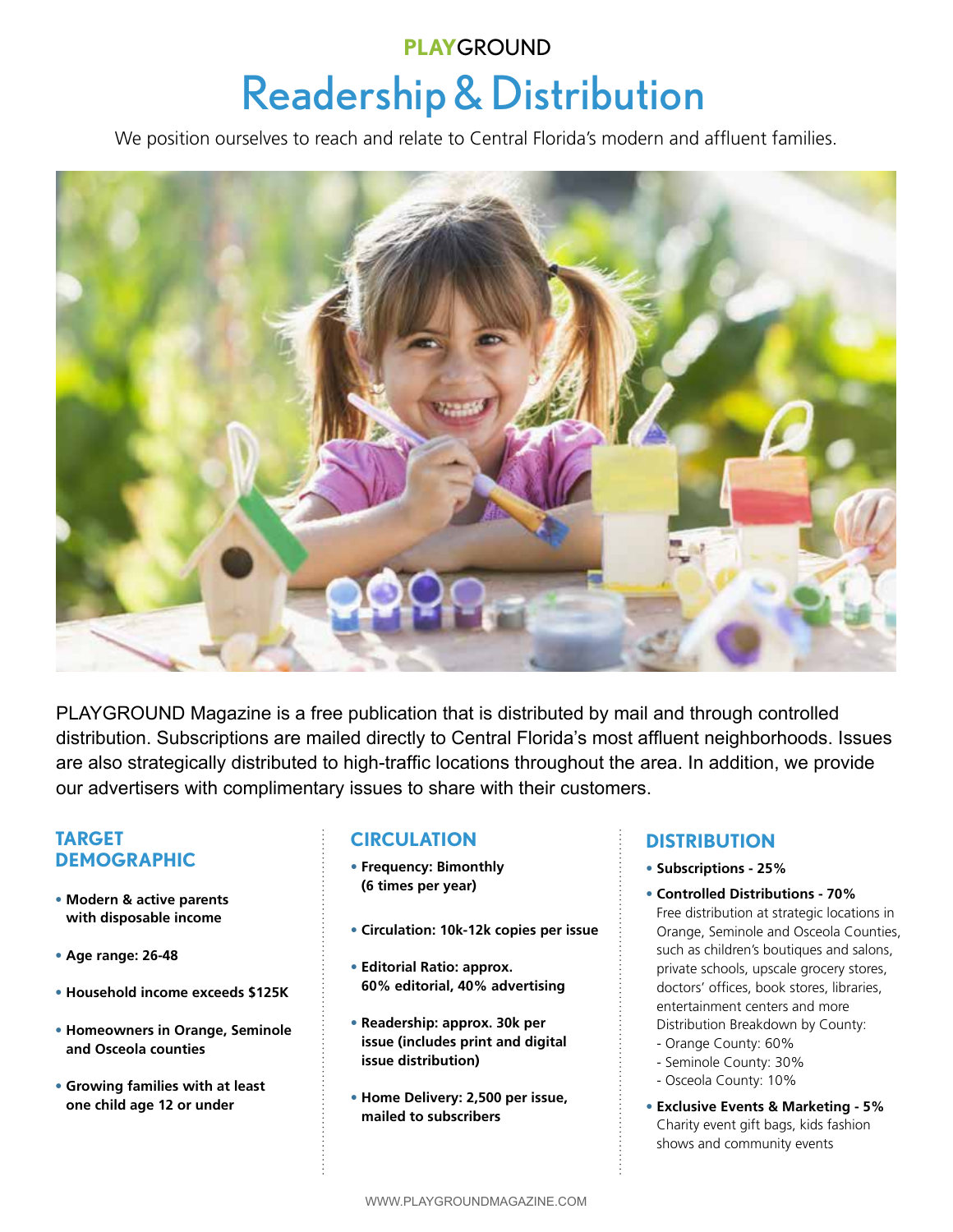## Readership & Distribution **PLAY**GROUND

We position ourselves to reach and relate to Central Florida's modern and affluent families.



PLAYGROUND Magazine is a free publication that is distributed by mail and through controlled distribution. Subscriptions are mailed directly to Central Florida's most affluent neighborhoods. Issues are also strategically distributed to high-traffic locations throughout the area. In addition, we provide our advertisers with complimentary issues to share with their customers.

### **TARGET DEMOGRAPHIC**

- **• Modern & active parents with disposable income**
- **Age range: 26-48**
- **Household income exceeds \$125K**
- **• Homeowners in Orange, Seminole and Osceola counties**
- **• Growing families with at least one child age 12 or under**

### **CIRCULATION**

- **• Frequency: Bimonthly (6 times per year)**
- **Circulation: 10k-12k copies per issue**
- **• Editorial Ratio: approx. 60% editorial, 40% advertising**
- **• Readership: approx. 30k per issue (includes print and digital issue distribution)**
- **• Home Delivery: 2,500 per issue, mailed to subscribers**

### **DISTRIBUTION**

- **• Subscriptions 25%**
- **• Controlled Distributions 70%** Free distribution at strategic locations in Orange, Seminole and Osceola Counties, such as children's boutiques and salons, private schools, upscale grocery stores, doctors' offices, book stores, libraries, entertainment centers and more Distribution Breakdown by County:
- Orange County: 60%
- Seminole County: 30%
- Osceola County: 10%
- **• Exclusive Events & Marketing 5%** Charity event gift bags, kids fashion shows and community events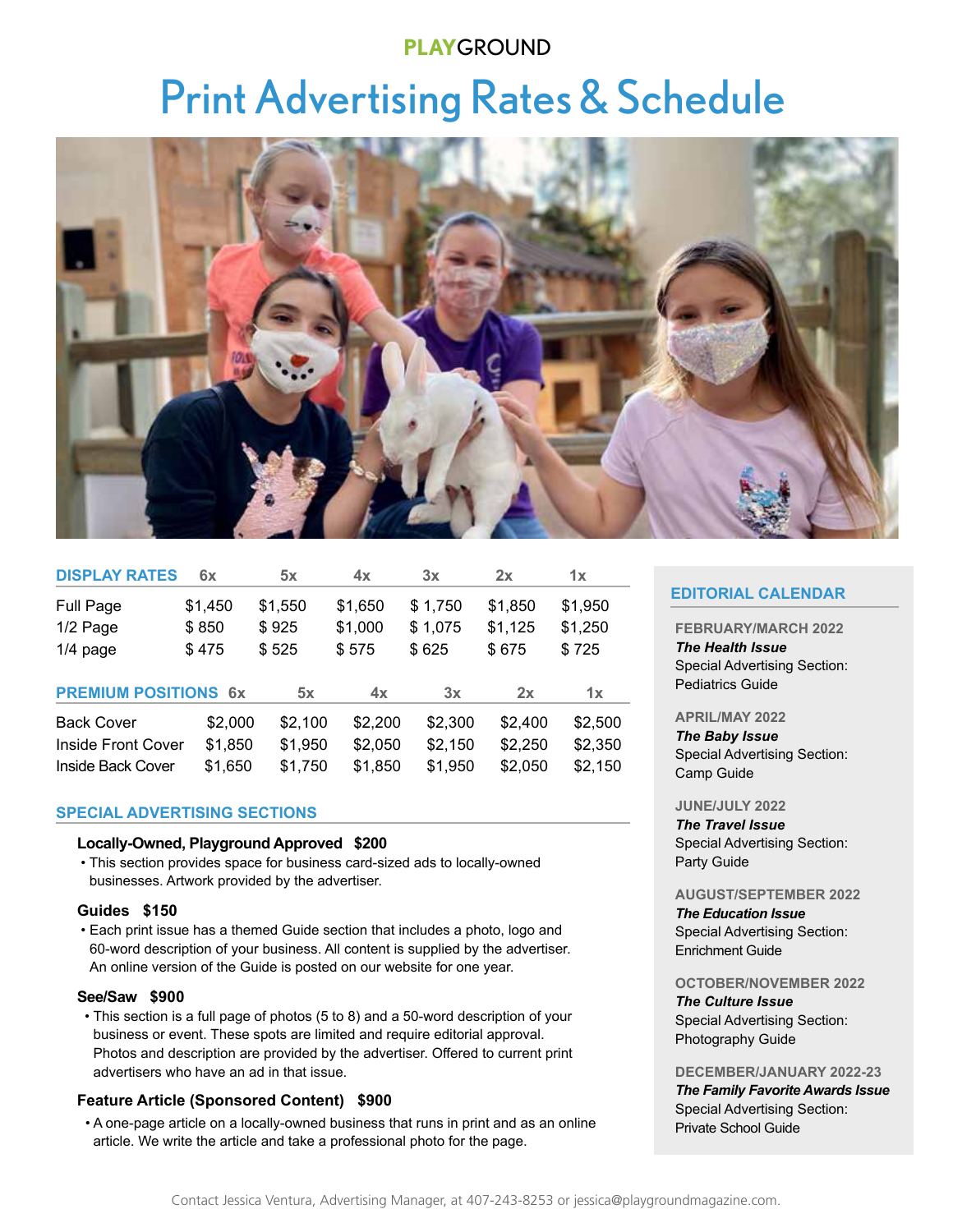### **PLAY**GROUND

# Print Advertising Rates & Schedule



| <b>DISPLAY RATES</b>        | 6x      | 5x      | 4x      | 3x      | 2x      | 1x      |
|-----------------------------|---------|---------|---------|---------|---------|---------|
| Full Page                   | \$1,450 | \$1,550 | \$1,650 | \$1,750 | \$1,850 | \$1,950 |
| 1/2 Page                    | \$850   | \$925   | \$1,000 | \$1,075 | \$1,125 | \$1,250 |
| $1/4$ page                  | \$475   | \$525   | \$575   | \$625   | \$675   | \$725   |
| <b>PREMIUM POSITIONS 6x</b> |         | 5x      | 4x      | 3x      | 2x      | 1x      |
| <b>Back Cover</b>           | \$2,000 | \$2,100 | \$2,200 | \$2,300 | \$2,400 | \$2,500 |
| <b>Inside Front Cover</b>   | \$1,850 | \$1,950 | \$2,050 | \$2,150 | \$2,250 | \$2,350 |
| Inside Back Cover           | \$1,650 | \$1,750 | \$1,850 | \$1,950 | \$2,050 | \$2,150 |

#### **SPECIAL ADVERTISING SECTIONS**

#### **Locally-Owned, Playground Approved \$200**

 • This section provides space for business card-sized ads to locally-owned businesses. Artwork provided by the advertiser.

#### **Guides \$150**

 • Each print issue has a themed Guide section that includes a photo, logo and 60-word description of your business. All content is supplied by the advertiser. An online version of the Guide is posted on our website for one year.

#### **See/Saw \$900**

 • This section is a full page of photos (5 to 8) and a 50-word description of your business or event. These spots are limited and require editorial approval. Photos and description are provided by the advertiser. Offered to current print advertisers who have an ad in that issue.

#### **Feature Article (Sponsored Content) \$900**

 • A one-page article on a locally-owned business that runs in print and as an online article. We write the article and take a professional photo for the page.

#### **EDITORIAL CALENDAR**

#### **FEBRUARY/MARCH 2022**

*The Health Issue*  Special Advertising Section: Pediatrics Guide

#### **APRIL/MAY 2022**

*The Baby Issue* Special Advertising Section: Camp Guide

#### **JUNE/JULY 2022**

*The Travel Issue*  Special Advertising Section: Party Guide

#### **AUGUST/SEPTEMBER 2022**

*The Education Issue* Special Advertising Section: Enrichment Guide

#### **OCTOBER/NOVEMBER 2022**

#### *The Culture Issue* Special Advertising Section: Photography Guide

#### **DECEMBER/JANUARY 2022-23**

*The Family Favorite Awards Issue*  Special Advertising Section: Private School Guide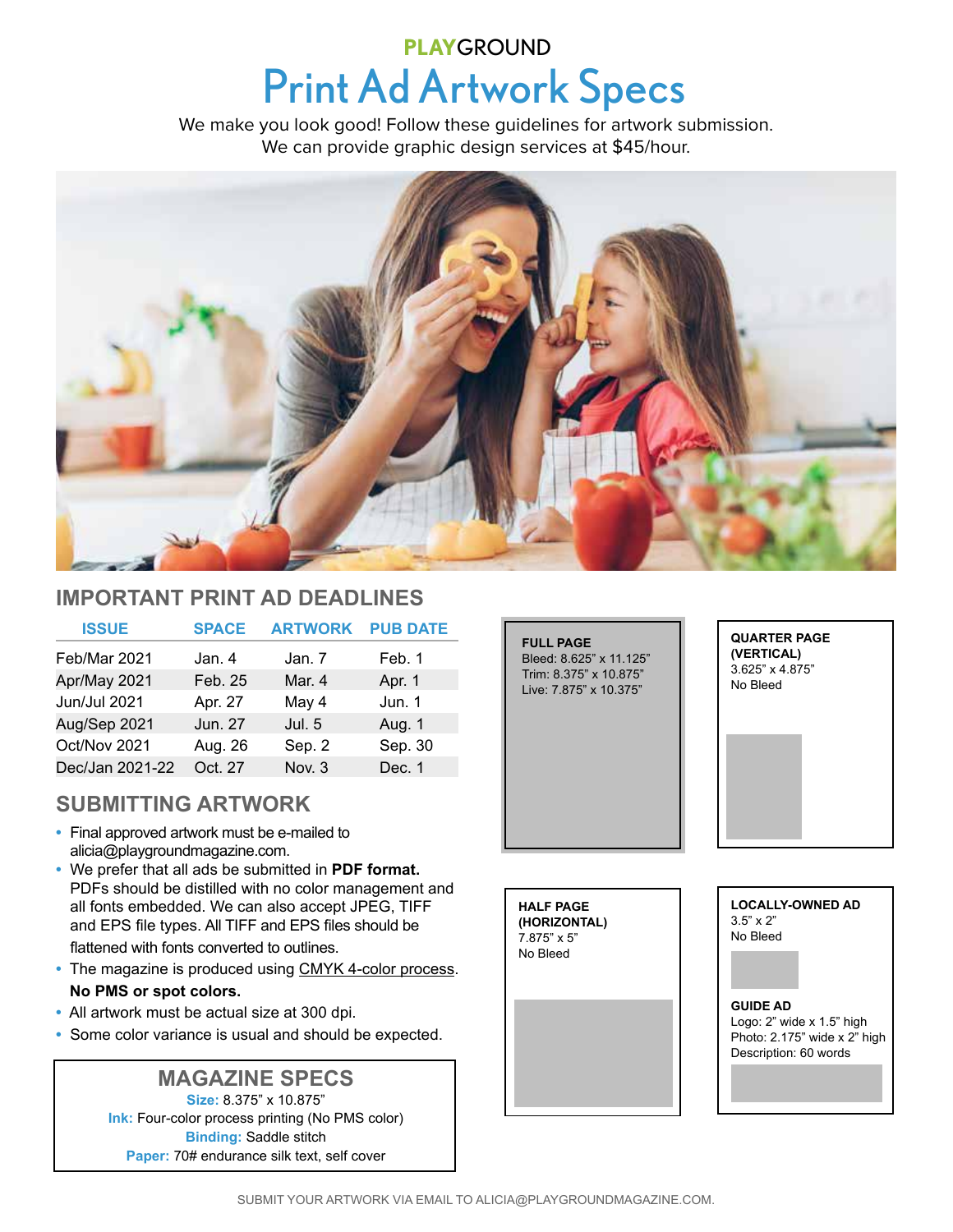## **Print Ad Artwork Specs PLAY**GROUND

We make you look good! Follow these guidelines for artwork submission. We can provide graphic design services at \$45/hour.



### **IMPORTANT PRINT AD DEADLINES**

| <b>ISSUE</b>    | <b>SPACE</b> | <b>ARTWORK</b> | <b>PUB DATE</b> |
|-----------------|--------------|----------------|-----------------|
| Feb/Mar 2021    | Jan. 4       | Jan. 7         | Feb. 1          |
| Apr/May 2021    | Feb. 25      | Mar. 4         | Apr. 1          |
| Jun/Jul 2021    | Apr. 27      | May 4          | Jun. 1          |
| Aug/Sep 2021    | Jun. 27      | Jul. 5         | Aug. 1          |
| Oct/Nov 2021    | Aug. 26      | Sep. 2         | Sep. 30         |
| Dec/Jan 2021-22 | Oct. 27      | Nov. 3         | Dec. 1          |

## **SUBMITTING ARTWORK**

- **•** Final approved artwork must be e-mailed to alicia@playgroundmagazine.com.
- **•** We prefer that all ads be submitted in **PDF format.**  PDFs should be distilled with no color management and all fonts embedded. We can also accept JPEG, TIFF and EPS file types. All TIFF and EPS files should be flattened with fonts converted to outlines.
- **•** The magazine is produced using CMYK 4-color process. **No PMS or spot colors.**
- **•** All artwork must be actual size at 300 dpi.
- **•** Some color variance is usual and should be expected.

### **MAGAZINE SPECS**

**Size:** 8.375" x 10.875" **Ink:** Four-color process printing (No PMS color) **Binding:** Saddle stitch **Paper:** 70# endurance silk text, self cover



**HALF PAGE (HORIZONTAL)** 7.875" x 5" No Bleed

**LOCALLY-OWNED AD** 3.5" x 2" No Bleed

#### **GUIDE AD** Logo: 2" wide x 1.5" high Photo: 2.175" wide x 2" high Description: 60 words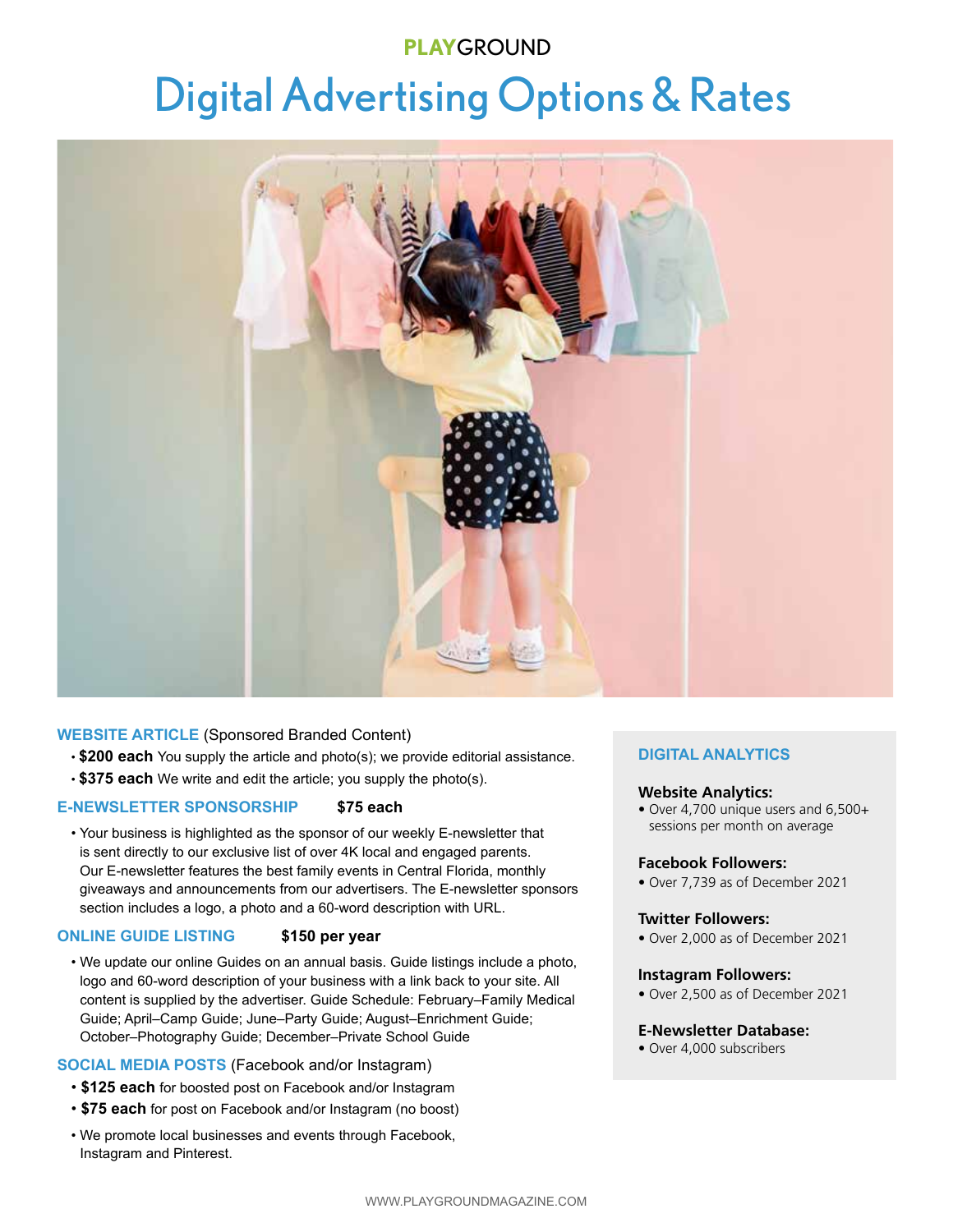## **PLAY**GROUND

# Digital Advertising Options & Rates



#### **WEBSITE ARTICLE** (Sponsored Branded Content)

- **\$200 each** You supply the article and photo(s); we provide editorial assistance.
- **\$375 each** We write and edit the article; you supply the photo(s).

#### **E-NEWSLETTER SPONSORSHIP \$75 each**

• Your business is highlighted as the sponsor of our weekly E-newsletter that is sent directly to our exclusive list of over 4K local and engaged parents. Our E-newsletter features the best family events in Central Florida, monthly giveaways and announcements from our advertisers. The E-newsletter sponsors section includes a logo, a photo and a 60-word description with URL.

#### **ONLINE GUIDE LISTING \$150 per year**

• We update our online Guides on an annual basis. Guide listings include a photo, logo and 60-word description of your business with a link back to your site. All content is supplied by the advertiser. Guide Schedule: February–Family Medical Guide; April–Camp Guide; June–Party Guide; August–Enrichment Guide; October–Photography Guide; December–Private School Guide

#### **SOCIAL MEDIA POSTS** (Facebook and/or Instagram)

- **\$125 each** for boosted post on Facebook and/or Instagram
- **\$75 each** for post on Facebook and/or Instagram (no boost)
- We promote local businesses and events through Facebook, Instagram and Pinterest.

#### **DIGITAL ANALYTICS**

#### **Website Analytics:**

• Over 4,700 unique users and 6,500+ sessions per month on average

#### **Facebook Followers:**

• Over 7,739 as of December 2021

#### **Twitter Followers:**

• Over 2,000 as of December 2021

#### **Instagram Followers:**

• Over 2,500 as of December 2021

#### **E-Newsletter Database:**

• Over 4,000 subscribers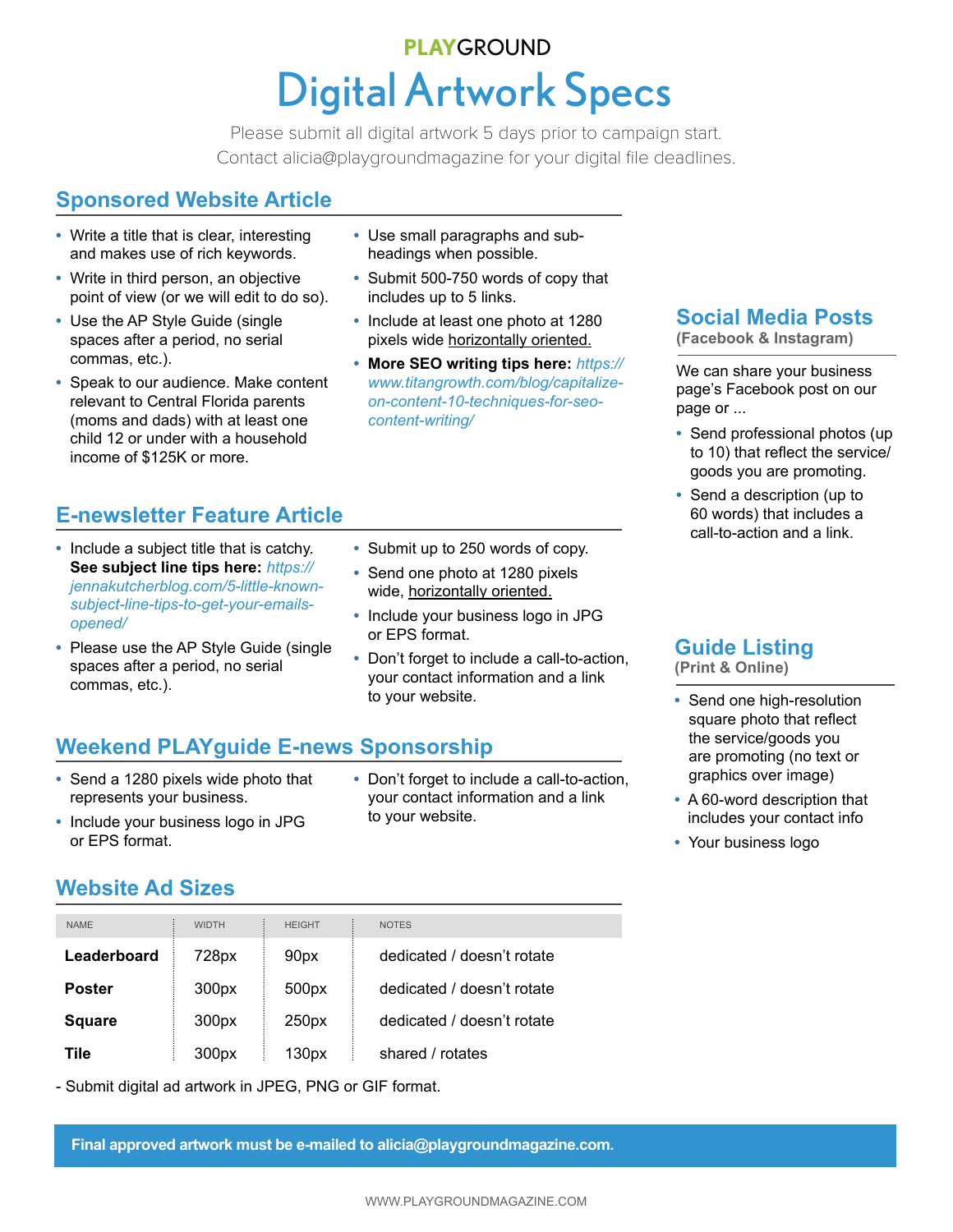## **Digital Artwork Specs PLAY**GROUND

Contact alicia@playgroundmagazine for your digital file deadlines. Please submit all digital artwork 5 days prior to campaign start.

## **Sponsored Website Article**

- **•** Write a title that is clear, interesting and makes use of rich keywords.
- **•** Write in third person, an objective point of view (or we will edit to do so).
- **•** Use the AP Style Guide (single spaces after a period, no serial commas, etc.).
- **•** Speak to our audience. Make content relevant to Central Florida parents (moms and dads) with at least one child 12 or under with a household income of \$125K or more.
- **•** Use small paragraphs and subheadings when possible.
- **•** Submit 500-750 words of copy that includes up to 5 links.
- **•** Include at least one photo at 1280 pixels wide horizontally oriented.
- **• More SEO writing tips here:** *https:// www.titangrowth.com/blog/capitalizeon-content-10-techniques-for-seocontent-writing/*

## **E-newsletter Feature Article**

- **•** Include a subject title that is catchy. **See subject line tips here:** *https:// jennakutcherblog.com/5-little-knownsubject-line-tips-to-get-your-emailsopened/*
- **•** Please use the AP Style Guide (single spaces after a period, no serial commas, etc.).
- **•** Submit up to 250 words of copy.
- **•** Send one photo at 1280 pixels wide, horizontally oriented.
- **•** Include your business logo in JPG or EPS format.
- **•** Don't forget to include a call-to-action, your contact information and a link to your website.

## **Weekend PLAYguide E-news Sponsorship**

- **•** Send a 1280 pixels wide photo that represents your business.
- **•** Don't forget to include a call-to-action, your contact information and a link to your website.

**Social Media Posts**

**(Facebook & Instagram)**

We can share your business page's Facebook post on our page or ...

- **•** Send professional photos (up to 10) that reflect the service/ goods you are promoting.
- **•** Send a description (up to 60 words) that includes a call-to-action and a link.

## **Guide Listing**

**(Print & Online)**

- **•** Send one high-resolution square photo that reflect the service/goods you are promoting (no text or graphics over image)
- **•** A 60-word description that includes your contact info
- **•** Your business logo

#### **•** Include your business logo in JPG or EPS format.

**Website Ad Sizes**

| <b>NAME</b>   | <b>WIDTH</b> | <b>HEIGHT</b>     | <b>NOTES</b>               |
|---------------|--------------|-------------------|----------------------------|
| Leaderboard   | 728px        | 90px              | dedicated / doesn't rotate |
| <b>Poster</b> | 300px        | 500px             | dedicated / doesn't rotate |
| <b>Square</b> | 300px        | 250px             | dedicated / doesn't rotate |
| Tile          | 300px        | 130 <sub>px</sub> | shared / rotates           |

- Submit digital ad artwork in JPEG, PNG or GIF format.

 **Final approved artwork must be e-mailed to alicia@playgroundmagazine.com.**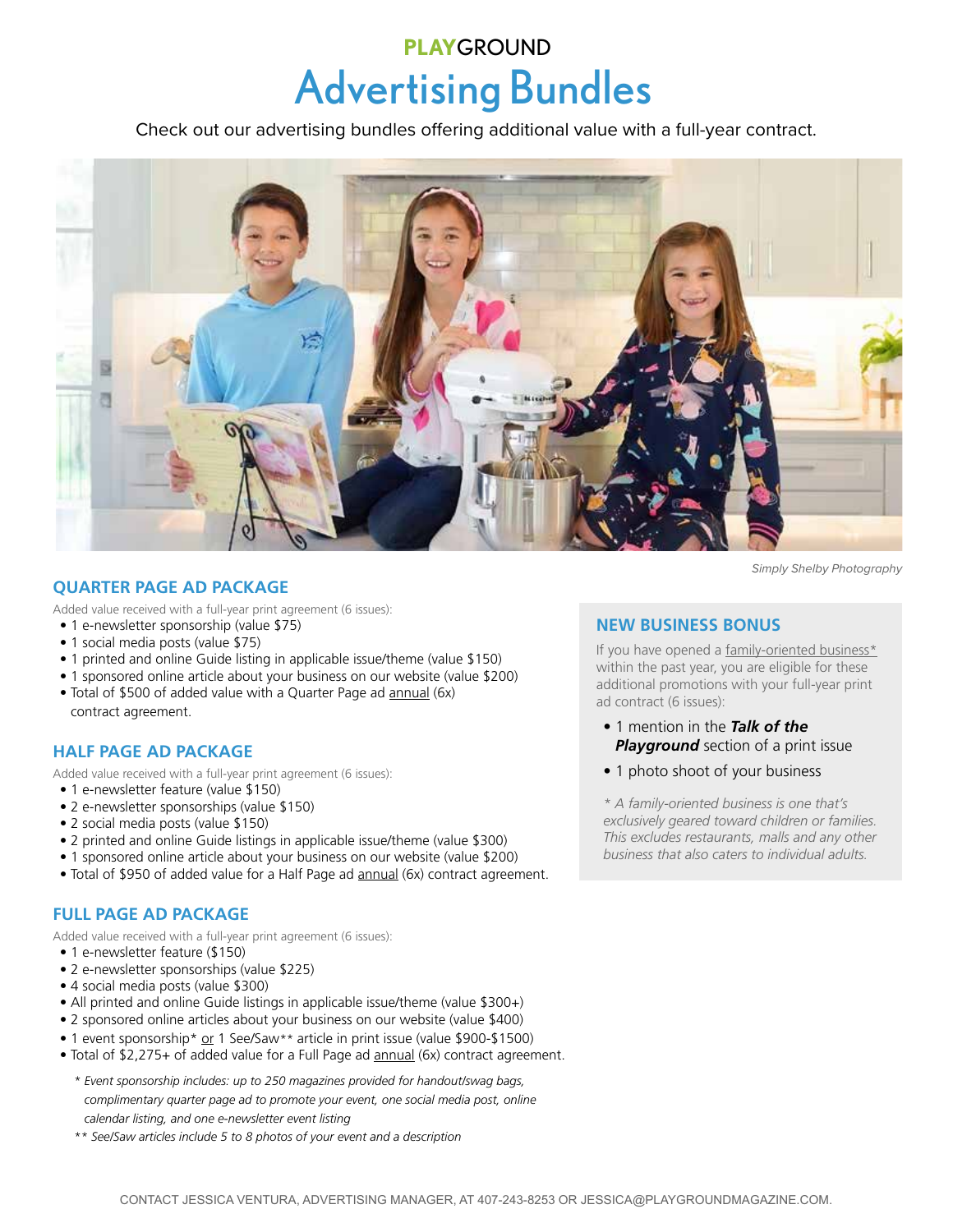## Advertising Bundles **PLAY**GROUND

Check out our advertising bundles offering additional value with a full-year contract.



#### **QUARTER PAGE AD PACKAGE**

Added value received with a full-year print agreement (6 issues):

- 1 e-newsletter sponsorship (value \$75)
- 1 social media posts (value \$75)
- 1 printed and online Guide listing in applicable issue/theme (value \$150)
- 1 sponsored online article about your business on our website (value \$200)
- Total of \$500 of added value with a Quarter Page ad annual (6x) contract agreement.

#### **HALF PAGE AD PACKAGE**

Added value received with a full-year print agreement (6 issues):

- 1 e-newsletter feature (value \$150)
- 2 e-newsletter sponsorships (value \$150)
- 2 social media posts (value \$150)
- 2 printed and online Guide listings in applicable issue/theme (value \$300)
- 1 sponsored online article about your business on our website (value \$200)
- Total of \$950 of added value for a Half Page ad annual (6x) contract agreement.

#### **FULL PAGE AD PACKAGE**

Added value received with a full-year print agreement (6 issues):

- 1 e-newsletter feature (\$150)
- 2 e-newsletter sponsorships (value \$225)
- 4 social media posts (value \$300)
- All printed and online Guide listings in applicable issue/theme (value \$300+)
- 2 sponsored online articles about your business on our website (value \$400)
- 1 event sponsorship\* or 1 See/Saw*\*\** article in print issue (value \$900-\$1500)
- Total of \$2,275+ of added value for a Full Page ad **annual** (6x) contract agreement.
	- *\* Event sponsorship includes: up to 250 magazines provided for handout/swag bags, complimentary quarter page ad to promote your event, one social media post, online calendar listing, and one e-newsletter event listing*
	- *\*\* See/Saw articles include 5 to 8 photos of your event and a description*

**NEW BUSINESS BONUS**

If you have opened a family-oriented business\* within the past year, you are eligible for these additional promotions with your full-year print ad contract (6 issues):

- 1 mention in the *Talk of the Playground* section of a print issue
- 1 photo shoot of your business

*\* A family-oriented business is one that's exclusively geared toward children or families. This excludes restaurants, malls and any other business that also caters to individual adults.*